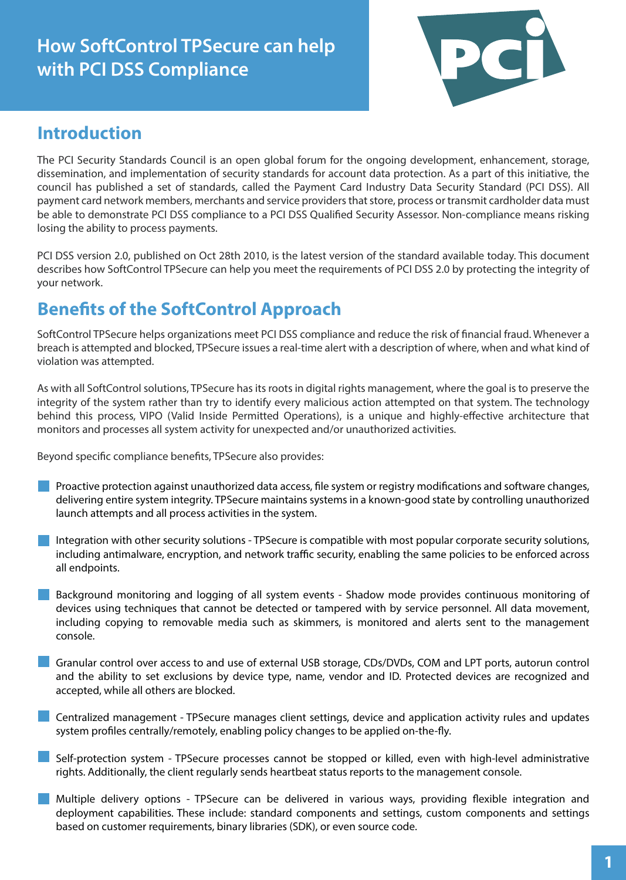# **How SoftControl TPSecure can help with PCI DSS Compliance**



# **Introduction**

The PCI Security Standards Council is an open global forum for the ongoing development, enhancement, storage, dissemination, and implementation of security standards for account data protection. As a part of this initiative, the council has published a set of standards, called the Payment Card Industry Data Security Standard (PCI DSS). All payment card network members, merchants and service providers that store, process or transmit cardholder data must be able to demonstrate PCI DSS compliance to a PCI DSS Qualified Security Assessor. Non-compliance means risking losing the ability to process payments.

PCI DSS version 2.0, published on Oct 28th 2010, is the latest version of the standard available today. This document describes how SoftControl TPSecure can help you meet the requirements of PCI DSS 2.0 by protecting the integrity of your network.

# **Benefits of the SoftControl Approach**

SoftControl TPSecure helps organizations meet PCI DSS compliance and reduce the risk of financial fraud. Whenever a breach is attempted and blocked, TPSecure issues a real-time alert with a description of where, when and what kind of violation was attempted.

As with all SoftControl solutions, TPSecure has its roots in digital rights management, where the goal is to preserve the integrity of the system rather than try to identify every malicious action attempted on that system. The technology behind this process, VIPO (Valid Inside Permitted Operations), is a unique and highly-effective architecture that monitors and processes all system activity for unexpected and/or unauthorized activities.

Beyond specific compliance benefits, TPSecure also provides:

- Proactive protection against unauthorized data access, file system or registry modifications and software changes, delivering entire system integrity. TPSecure maintains systems in a known-good state by controlling unauthorized launch attempts and all process activities in the system.
- Integration with other security solutions TPSecure is compatible with most popular corporate security solutions, including antimalware, encryption, and network traffic security, enabling the same policies to be enforced across all endpoints.
- Background monitoring and logging of all system events Shadow mode provides continuous monitoring of devices using techniques that cannot be detected or tampered with by service personnel. All data movement, including copying to removable media such as skimmers, is monitored and alerts sent to the management console.
- Granular control over access to and use of external USB storage, CDs/DVDs, COM and LPT ports, autorun control and the ability to set exclusions by device type, name, vendor and ID. Protected devices are recognized and accepted, while all others are blocked.
- Centralized management TPSecure manages client settings, device and application activity rules and updates system profiles centrally/remotely, enabling policy changes to be applied on-the-fly.
- Self-protection system TPSecure processes cannot be stopped or killed, even with high-level administrative rights. Additionally, the client regularly sends heartbeat status reports to the management console.
- Multiple delivery options TPSecure can be delivered in various ways, providing flexible integration and deployment capabilities. These include: standard components and settings, custom components and settings based on customer requirements, binary libraries (SDK), or even source code.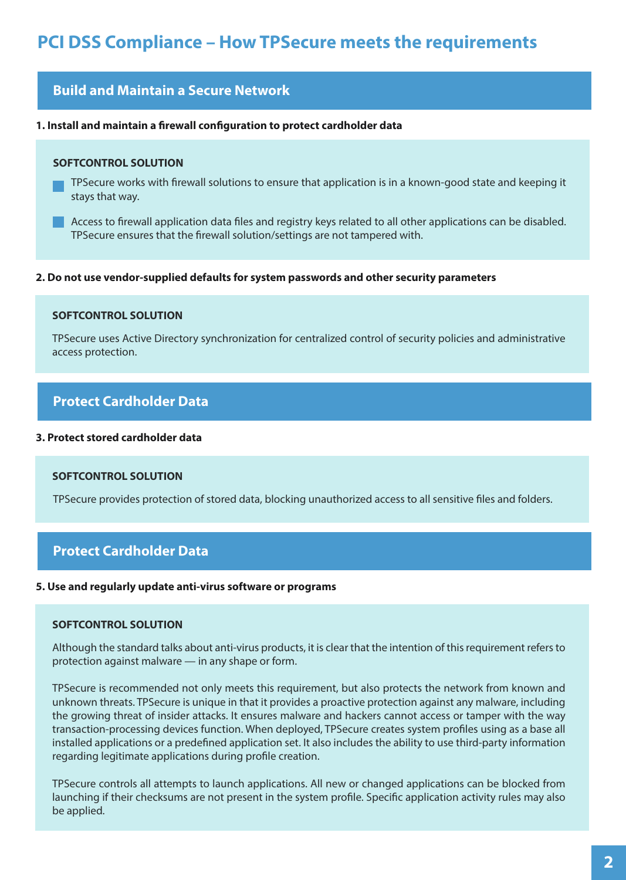# **PCI DSS Compliance – How TPSecure meets the requirements**

## **Build and Maintain a Secure Network**

#### **1. Install and maintain a firewall configuration to protect cardholder data**

#### **SOFTCONTROL SOLUTION**

- TPSecure works with firewall solutions to ensure that application is in a known-good state and keeping it stays that way.
- Access to firewall application data files and registry keys related to all other applications can be disabled. TPSecure ensures that the firewall solution/settings are not tampered with.

#### **2. Do not use vendor-supplied defaults for system passwords and other security parameters**

#### **SOFTCONTROL SOLUTION**

TPSecure uses Active Directory synchronization for centralized control of security policies and administrative access protection.

### **Protect Cardholder Data**

#### **3. Protect stored cardholder data**

#### **SOFTCONTROL SOLUTION**

TPSecure provides protection of stored data, blocking unauthorized access to all sensitive files and folders.

### **Protect Cardholder Data**

#### **5. Use and regularly update anti-virus software or programs**

#### **SOFTCONTROL SOLUTION**

Although the standard talks about anti-virus products, it is clear that the intention of this requirement refers to protection against malware — in any shape or form.

TPSecure is recommended not only meets this requirement, but also protects the network from known and unknown threats. TPSecure is unique in that it provides a proactive protection against any malware, including the growing threat of insider attacks. It ensures malware and hackers cannot access or tamper with the way transaction-processing devices function. When deployed, TPSecure creates system profiles using as a base all installed applications or a predefined application set. It also includes the ability to use third-party information regarding legitimate applications during profile creation.

TPSecure controls all attempts to launch applications. All new or changed applications can be blocked from launching if their checksums are not present in the system profile. Specific application activity rules may also be applied.